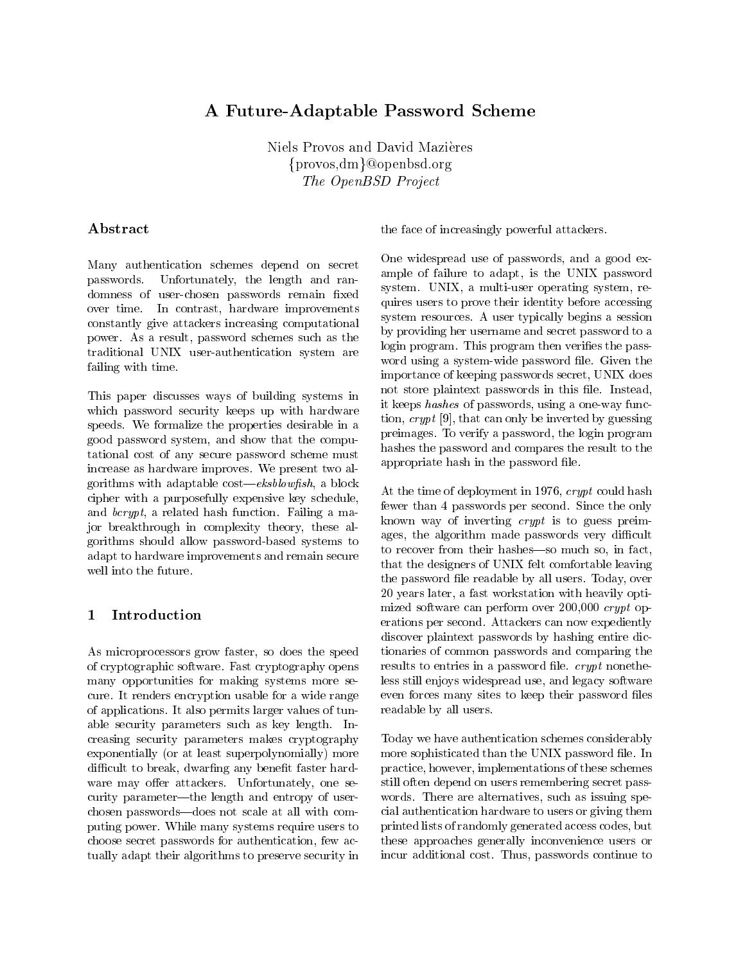# A Future-Adaptable Password Scheme

Niels Provos and David Mazieres  $\{\mathrm{provos}, \mathrm{dm}\}$ @openbsd.org The OpenBSD Project

# Abstract

Many authentication schemes depend on secret passwords. Unfortunately, the length and randominess of user-chosen passwords remaining measured to a over time. In contrast, hardware improvements constantly give attackers increasing computational power. As a result, password schemes such as the traditional United States and Contraction system are the contract of the contract of the contract of the contract of the contract of the contract of the contract of the contract of the contract of the contract of the contr failing with time

This paper discusses ways of building systems in which password security keeps up with hardware speeds We formalize the properties desirable in a good password system, and show that the computational cost of any secure password scheme must increase as hardware improves. We present two algorithms with adaptable cost— $ekshlowfish$ , a block cipher with a purposefully expensive key schedule and  $bcrypt$ , a related hash function. Failing a major breakthrough in complexity theory, these algorithms should allow password-based systems to adapt to hardware improvements and remain secure well into the future

#### $\mathbf{1}$ Introduction

As microprocessors grow faster, so does the speed of cryptographic software Fast cryptography opens many opportunities for making systems more secure. It renders encryption usable for a wide range of applications It also permits larger values of tunable security parameters such as key length. Increasing security parameters makes cryptography exponentially (or at least superpolynomially) more difficult to break, dwarfing any benefit faster hardware may offer attackers. Unfortunately, one security parameter—the length and entropy of userchosen passwords—does not scale at all with computing power. While many systems require users to choose secret passwords for authentication, few actually adapt their algorithms to preserve security in

the face of increasingly powerful attackers

system. UNIX, a multi-user operating system, re hashes the password and compares the result to the One widespread use of passwords, and a good example of failure to adapt, is the UNIX password quires users to prove their identity before accessing system resources A user typically begins a session by providing her username and secret password to a login program. This program then verifies the passwith the system and password the system of the system of the system of the system of the system of the system of the system of the system of the system of the system of the system of the system of the system of the system importance of keeping passwords secret, UNIX does not store plaintext passwords in this file. Instead, it keeps has had been a one-been a one-been a one-been a one-been a one-been a one-been a one-been a one-been a tion crypt  $\{ \sigma \}$  , where the integration can only distributed by  $\{ \sigma \}$ preimages. To verify a password, the login program appropriate hash in the password file.

known way of inverting *crypt* is to guess preimages, the algorithm made passwords very difficult less still enjoys widespread use and legacy software readable by all users and users  $\mathbf{r}$  the time of dependence of dependent in the time of dependent in the crypt could have been could have been could be a set of the crypt could have been could be a set of the crypt could be a set of the crypt could fewer than 4 passwords per second. Since the only to recover from their hashes-so much so, in fact, that the designers of UNIX felt comfortable leaving the password file readable by all users. Today, over 20 years later, a fast workstation with heavily optimized software can perform over  $200,000$  crypt operations per second. Attackers can now expediently discover plaintext passwords by hashing entire dictionaries of common passwords and comparing the results to entries in a password file.  $crypt$  nonetheeven forces many sites to keep their password files

 practice however implementations of these schemes still often depend on users remembering secret passwhere are alternatives such as issues such as issues such as is such as is such as is  $\mathbf{M}$  . If  $\mathbf{M}$ cial authorities have to use or all the users or giving the second them are all the users of giving the material or  $\alpha$  these approaches generally inconvenience users or Today we have authentication schemes considerably more sophisticated than the UNIX password file. In printed lists of randomly generated access codes but incur additional cost. Thus, passwords continue to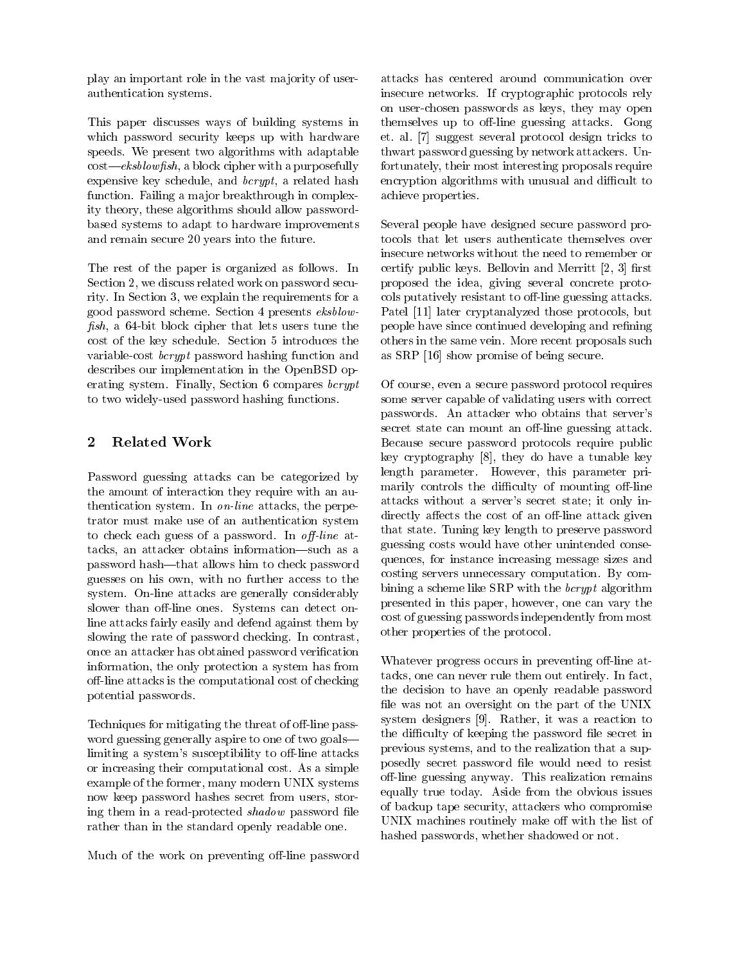play an important role in the vast ma jority of userauthentication systems

This paper discusses ways of building systems in which password security keeps up with hardware speeds We present two algorithms with adaptable  $cost—ekshlowfish$ , a block cipher with a purposefully expensive key schedule, and  $bcrypt$ , a related hash function. Failing a major breakthrough in complexity theory these algorithms should allow passwordbased systems to adapt to hardware improvements and remain secure 20 years into the future.

The rest of the paper is organized as follows. In Section 2, we discuss related work on password security. In Section 3, we explain the requirements for a good password scheme. Section 4 presents eksblowsh a -bit block cipher that lets users tune the cost of the key schedule. Section 5 introduces the variable-cost bcrypt password hashing function and describes our implementation in the OpenBSD operating system. Finally, Section  $6$  compares *bcrypt*  $\mathbf{u}$  two widely-dependent functions  $\mathbf{u}$ 

# 2 Related Work

Password guessing attacks can be categorized by the amount of interaction they require with an authentication system. In  $on$ -line attacks, the perpetrator must make use of an authentication system to check each guess of a password In o-line attacks, an attacker obtains information—such as a password hash-that allows him to check password guesses on his own, with no further access to the system On-line attacks are generally considerably sion of the second cancer of provency the detect on the line attacks fairly easily and defend against them by slowing the rate of password checking. In contrast, once an attacker has obtained password verification information, the only protection a system has from o-line attacks is the computational cost of checking potential passwords

Techniques for mitigating the threat of o-line password guessing generally aspire to one of two goals limiting a systems susceptibility to o-line attacks or increasing their computational cost As a simple example of the former, many modern UNIX systems now keep password hashes secret from users, storing them in a read-protected shadow password le rather than in the standard openly readable one

Much of the work on preventing o-line password

achieve properties properties and a set of the contract of the contract of the contract of the contract of the insecure networks If cryptographic protocols rely on user-chosen passwords as keys they may open passwords as keys they may open passwords as keys they may open themselves up to o-line guessing attacks Gong et. al. [7] suggest several protocol design tricks to thwart password guessing by network attackers. Unfortunately, their most interesting proposals require encryption algorithms with unusual and difficult to

 proposed the idea giving several concrete proto-Several people have designed secure password protocols that let users authenticate themselves over insecure networks without the need to remember or certify public keys. Bellovin and Merritt  $[2, 3]$  first cols putatively resistant to o-line guessing attacks Patel [11] later cryptanalyzed those protocols, but people have since continued developing and refining others in the same vein. More recent proposals such as  $SRP$  [16] show promise of being secure.

attacks without a server's secret state; it only indirectly affects the cost of an off-line attack given guessing costs would have other unintended conse cost of guessing passwords independently from most Of course, even a secure password protocol requires some server capable of validating users with correct passwords. An attacker who obtains that server's secret state can mount an o-mount guessing attacks. Because secure password protocols require public key cryptography  $[8]$ , they do have a tunable key length parameter. However, this parameter primarily controls the diculty of mounting o-line that state Tuning key length to preserve password quences for instance increasing message sizes and costing servers unnecessary computation By combining a scheme like SRP with the  $bcrypt$  algorithm presented in this paper, however, one can vary the other properties of the protocol

the difficulty of keeping the password file secret in of backup tape security, attackers who compromise who are progress of the preventing o- at  $\sim$ tacks, one can never rule them out entirely. In fact, the decision to have an openly readable password file was not an oversight on the part of the UNIX system designers in the contraction to the contraction to the contraction of the contraction to the contraction of the contraction of the contraction of the contraction of the contraction of the contraction of the contract previous systems, and to the realization that a supposedly secret password file would need to resist o-line guessing anyway This realization remains equally true today Aside from the obvious issues UNIX machines routinely make off with the list of hashed passwords, whether shadowed or not.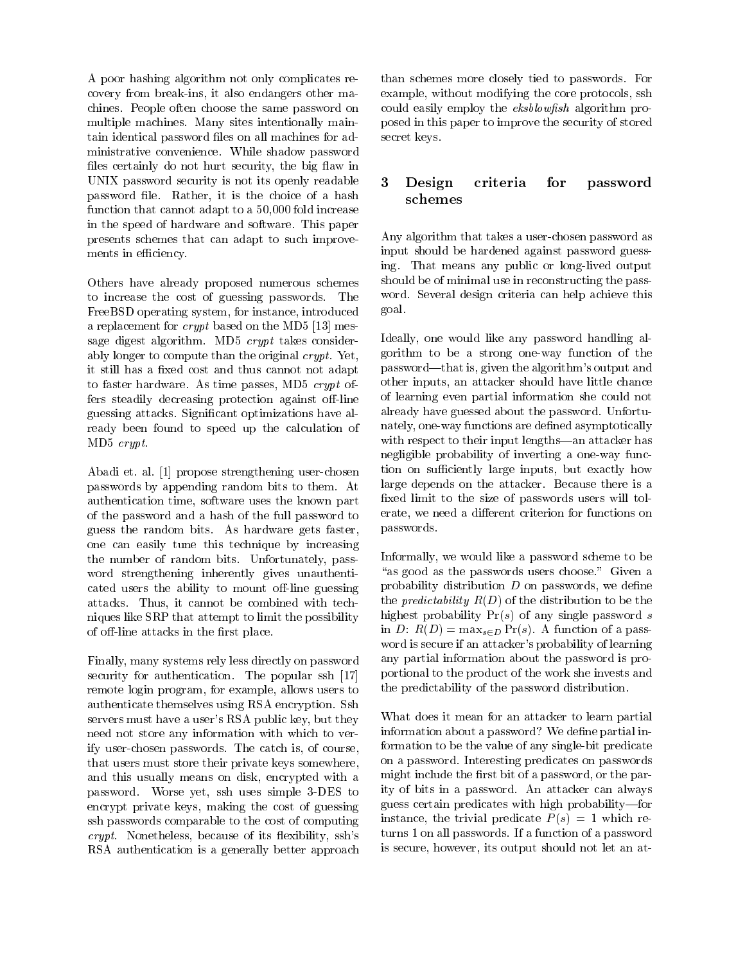A poor hashing algorithm not only complicates recovery from break-ins it also endangers other machines People often choose the same password on multiple machines. Many sites intentionally maintain identical password files on all machines for administrative convenience While shadow password files certainly do not hurt security, the big flaw in UNIX password security is not its openly readable 3 password file. Rather, it is the choice of a hash function that cannot adapt to a  $50,000$  fold increase in the speed of hardware and software This paper presents schemes that can adapt to such improvements in efficiency.

Others have already proposed numerous schemes to increase the cost of guessing passwords The FreeBSD operating system, for instance, introduced a replacement for *crypt* based on the MD5  $[13]$  message digest algorithm. MD5  $crypt$  takes considerably longer to compute than the original  $crypt$ . Yet, it still has a fixed cost and thus cannot not adapt to faster hardware. As time passes, MD5  $crypt$  offers steadily decreasing protection against o-line guessing attacks Signicant optimizations have already been found to speed up the calculation of MD5 crypt.

abadi et al al al propose strengthening user-strengthening user-strengthening user-strengthening user-strength passwords by appending random bits to them At authentication time, software uses the known part of the password and a hash of the full password to guess the random bits. As hardware gets faster, one can easily tune this technique by increasing the number of random bits. Unfortunately, password strengthening inherently gives unauthenticated users the ability to mount o-line guessing attacks. Thus, it cannot be combined with techniques like SRP that attempt to limit the possibility of o-called the rst place in the rst place in the rst place in the rst place in the rst place in the rst place

Finally, many systems rely less directly on password security for authentication. The popular ssh [17] remote login program, for example, allows users to authenticate themselves using RSA encryption Ssh servers must have a user's RSA public key, but they need not store any information with which to verify user-chosen passwords The catch is of course that users must store their private keys somewhere and this usually means on disk, encrypted with a password Worse yet, when when we have a most of the state of the state of the state of the state of the state o encrypt private keys, making the cost of guessing ssh passwords comparable to the cost of computing  $crypt.$  Nonetheless, because of its flexibility, ssh's RSA authentication is a generally better approach

 than schemes more closely tied to passwords For example with the core core protocols state that the core protocols state the core of the core protocols state o posed in this paper to improve the security of stored secretary and the secretary product of the secretary product of the secretary product of the secretary product could easily employ the *eksblowfish* algorithm pro-

### Design criteria for password criteria for schemes

Any algorithm that takes a user-chosen password as input should be hardened against password guessing the means of the public or long-time output of the means of the contract of the contract of the contract o should be of minimal use in reconstructing the password. Several design criteria can help achieve this goal

Ideally, one would like any password handling al- $\alpha$  -receives to be a strong one-way function of the strong password-that is, given the algorithm's output and other inputs, an attacker should have little chance of learning even partial information she could not already have guessed about the password. Unfortunately one-way functions are dened asymptotically with respect to their input lengths—an attacker has negligible probability of inverting a one-way function on sufficiently large inputs, but exactly how large depends on the attacker. Because there is a xed limit to the size of passwords users will tolerate, we need a different criterion for functions on passwords

Informally, we would like a password scheme to be "as good as the passwords users choose." Given a probability distribution  $D$  on passwords, we define the *predictability*  $R(D)$  of the distribution to be the highest probability  $Pr(s)$  of any single password s in D:  $R(D) = \max_{s \in D} Pr(s)$ . A function of a password is secure if an attacker's probability of learning any partial information about the password is proportional to the product of the work she invests and the predictability of the password distribution

What does it mean for an attacker to learn partial information about a password? We define partial information to be the value of any single-bit predicate on a password. Interesting predicates on passwords might include the first bit of a password, or the parity of bits in a password. An attacker can always guess certain predicates with high probability-for instance, the trivial predicate  $P(s) = 1$  which returns 1 on all passwords. If a function of a password is secure, however, its output should not let an at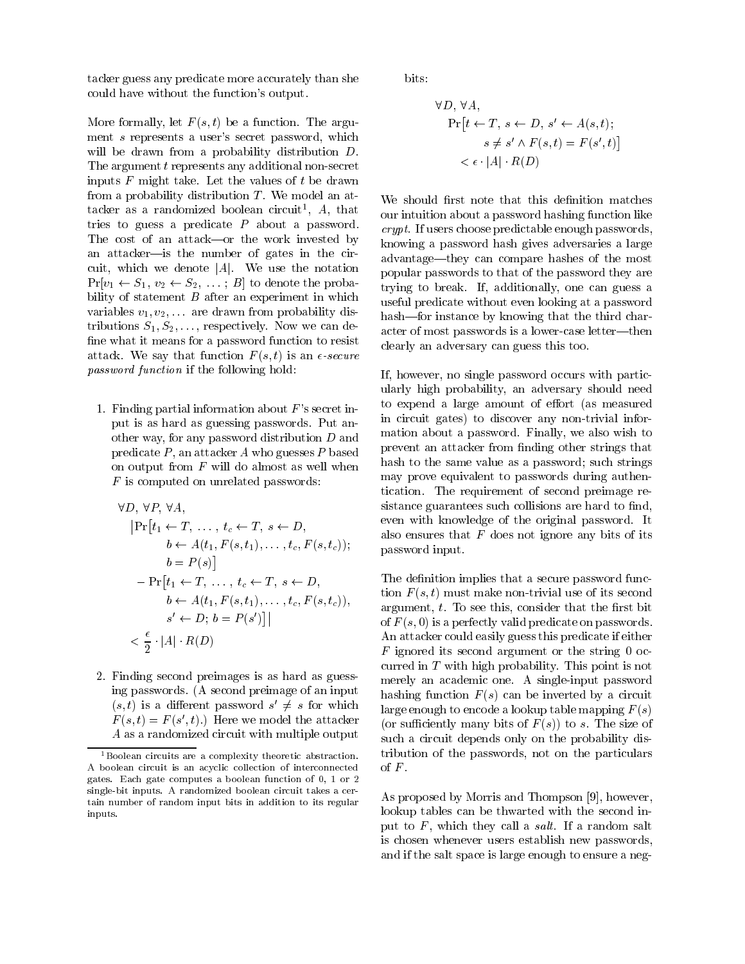tacker guess any predicate more accurately than she could have without the function's output.

More formally, let  $F(s, t)$  be a function. The argument  $s$  represents a user's secret password, which will be drawn from a probability distribution D. The argument t represents any additional non-secret inputs  $F$  might take. Let the values of  $t$  be drawn from a probability distribution  $T$ . We model an attacker as a randomized boolean circuit,  $A$ , that  $\overline{\phantom{a}}_{\alpha\alpha}$ tries to guess a predicate  $P$  about a password. The cost of an attack----or the work invested by an attacker-is the number of gates in the circuit, which we denote  $|A|$ . We use the notation  $Pr[v_1 \leftarrow S_1, v_2 \leftarrow S_2, \ldots; B]$  to denote the probability of statement  $B$  after an experiment in which variables  $v_1, v_2, \ldots$  are drawn from probability distributions  $S_1, S_2, \ldots$ , respectively. Now we can define what it means for a password function to resist attack We say that function  $\mathcal{N}$  is an  $\mathcal{N}$  s that function  $\mathcal{N}$  s that function  $\mathcal{N}$  s that function  $\mathcal{N}$ password function if the following hold:

1. Finding partial information about  $F$ 's secret input is as hard as guessing passwords Put another way, for any password distribution  $D$  and predicate  $P$ , an attacker  $A$  who guesses  $P$  based on output from  $F$  will do almost as well when  $F$  is computed on unrelated passwords:

$$
\forall D, \forall P, \forall A, \text{ size } \newline \{Pr[t_1 \leftarrow T, \dots, t_c \leftarrow T, s \leftarrow D, \text{ else } t \text{ else } t \text{ else } t \text{ else } t \text{ else } t \text{ else } t \text{ else } t \text{ else } t \text{ else } t \text{ else } t \text{ else } t \text{ else } t \text{ else } t \text{ else } t \text{ else } t \text{ else } t \text{ else } t \text{ else } t \text{ else } t \text{ else } t \text{ else } t \text{ else } t \text{ else } t \text{ else } t \text{ else } t \text{ else } t \text{ else } t \text{ else } t \text{ else } t \text{ else } t \text{ else } t \text{ else } t \text{ else } t \text{ else } t \text{ else } t \text{ else } t \text{ else } t \text{ else } t \text{ else } t \text{ else } t \text{ else } t \text{ else } t \text{ else } t \text{ else } t \text{ else } t \text{ else } t \text{ else } t \text{ else } t \text{ else } t \text{ else } t \text{ else } t \text{ else } t \text{ else } t \text{ else } t \text{ else } t \text{ else } t \text{ else } t \text{ else } t \text{ else } t \text{ else } t \text{ else } t \text{ else } t \text{ else } t \text{ else } t \text{ else } t \text{ else } t \text{ else } t \text{ else } t \text{ else } t \text{ else } t \text{ else } t \text{ else } t \text{ else } t \text{ else } t \text{ else } t \text{ else } t \text{ else } t \text{ else } t \text{ else } t \text{ else } t \text{ else } t \text{ else } t \text{ else } t \text{ else } t \text{ else } t \text{ else } t \text{ else } t \text{ else } t \text{ else } t \text{ else } t \text{ else } t \text{ else } t \text{ else } t \text{ else } t \text{ else } t \text{ else } t \text{ else } t \text{ else } t \text{ else } t \text{ else } t \text{ else } t \text{ else } t \text{ else } t \text{ else } t \text{ else } t \text{ else } t \text{ else } t \text{ else } t \text{ else } t \text{ else } t \text{ else } t \text{ else } t \text{ else } t \text{ else } t \text{ else } t \text{ else } t \text{ else } t \text{ else } t \text{ else } t
$$

 Finding second preimages is as hard as guessing passwords. (A second preimage of an input  $(s, t)$  is a different password  $s \neq s$  for which  $s \geq s$  $F(s,t) = F(s, t)$ . Here we model the attacker  $\epsilon_{\alpha s}$ A as a randomized circuit with multiple output

bits

$$
\forall D, \forall A,
$$
  
\n
$$
\Pr[t \leftarrow T, s \leftarrow D, s' \leftarrow A(s, t);
$$
  
\n
$$
s \neq s' \land F(s, t) = F(s', t)]
$$
  
\n
$$
< \epsilon \cdot |A| \cdot R(D)
$$

 We should rst note that this denition matches advantage—tney can compare hashes of the most trying to break If additionally one can guess a hashfor instance by knowing that the third character of most passwords is a lower-case letter—then our intuition about a password hashing function like  $crypt.$  If users choose predictable enough passwords, knowing a password hash gives adversaries a large popular passwords to that of the password they are useful predicate without even looking at a password clearly an adversary can guess this too

mation about a password. Finally, we also wish to If, however, no single password occurs with particularly high probability, an adversary should need to expend a large amount of effort (as measured in circuit gates to discover any non-trivial inforprevent an attacker from finding other strings that hash to the same value as a password; such strings may prove equivalent to passwords during authentication The requirement of second preimage resistance guarantees such collisions are hard to find, even with knowledge of the original password. It also ensures that  $F$  does not ignore any bits of its password input

 merely an academic one A single-input password The definition implies that a secure password function F  $\{1,1\}$  also its second model its second and the its second contracts. argument,  $t$ . To see this, consider that the first bit of  $F(s, 0)$  is a perfectly valid predicate on passwords. An attacker could easily guess this predicate if either  $F$  ignored its second argument or the string 0 occurred in  $T$  with high probability. This point is not hashing function  $F(s)$  can be inverted by a circuit large enough to encode a lookup table mapping  $F(s)$ (or sufficiently many bits of  $F(s)$ ) to s. The size of such a circuit depends only on the probability distribution of the passwords, not on the particulars of  $F$ .

As proposed by Morris and Thompson however lookup tables can be thwarted with the second input to  $F$ , which they call a *salt*. If a random salt is chosen whenever users establish new passwords and if the salt space is large enough to ensure a neg-

 $1$ Boolean circuits are a complexity theoretic abstraction. A boolean circuit is an acyclic collection of interconnected gates Each gate computes a boolean function of - or single-bit inputs. A randomized boolean circuit takes a certain number of random input bits in addition to its regular inputs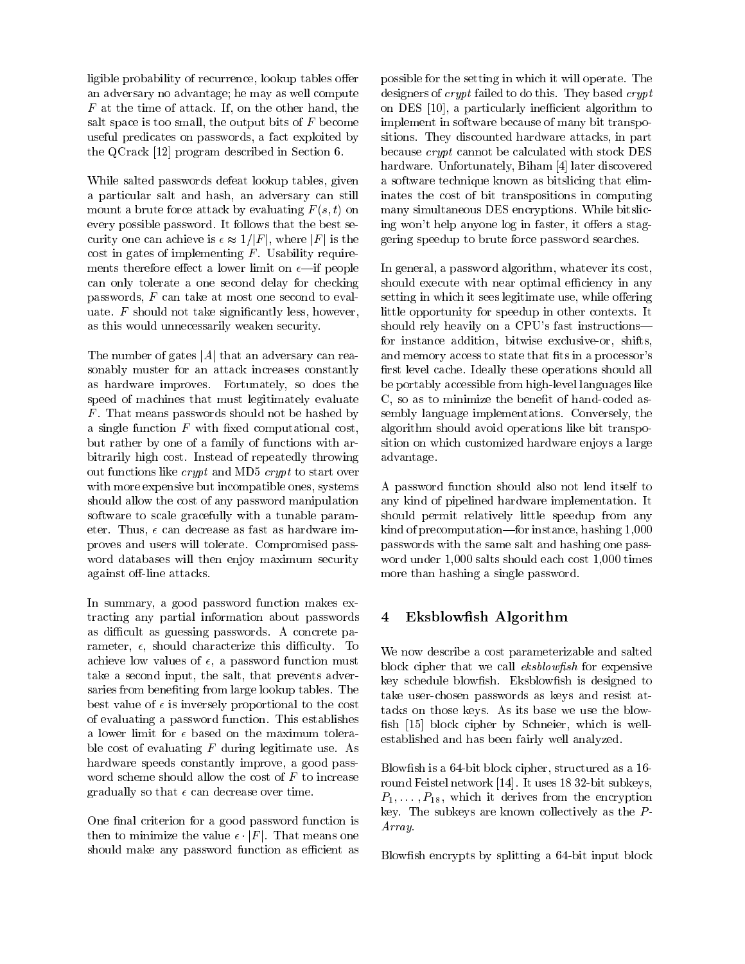ligible probability of recurrence, lookup tables offer an adversary no advantage; he may as well compute  $F$  at the time of attack. If, on the other hand, the salt space is too small, the output bits of  $F$  become useful predicates on passwords, a fact exploited by the QCrack  $[12]$  program described in Section 6.

While salted passwords defeat lookup tables, given a particular salt and hash, an adversary can still mount a brute force attack by evaluating  $F(s, t)$  on every possible password. It follows that the best security one can achieve is -  $\mathbf{f}$  just in the just is the just is the just is the just is the just is the just is the just is the just is the just is the just is the just is the just is the just is the just is the just cost in gates of implementing  $F$ . Usability requirements therefore extensive extensive extensive limit on  $\mathbf{r}$  and  $\mathbf{r}$  are formulated the operators of  $\mathbf{r}$ can only tolerate a one second delay for checking passwords,  $F$  can take at most one second to evaluate.  $F$  should not take significantly less, however, as this would unnecessarily weaken security

The number of gates  $|A|$  that an adversary can reasonably muster for an attack increases constantly as hardware improves. Fortunately, so does the speed of machines that must legitimately evaluate  $F$ . That means passwords should not be hashed by a single function  $F$  with fixed computational cost, but rather by one of a family of functions with arbitrarily high cost. Instead of repeatedly throwing out functions like *crypt* and MD5 *crypt* to start over with more expensive but incompatible ones, systems should allow the cost of any password manipulation software to scale gracefully with a tunable parameter Thus - can decrease in the fast as fast as  $\sim$ proves and users will tolerate Compromised password databases will then enjoy maximum security against o-line attacks

In summary, a good password function makes extracting any partial information about passwords as difficult as guessing passwords. A concrete parameter - processes the characterized the characterized the state of the state of the state of the state of th achieve low values of a password function must be a password function must be a particle of the second functio take a second input, the salt, that prevents adversaries from benefiting from large lookup tables. The best value of - is inversely proportional to the cost of evaluating a password function This establishes a lower limit for - based on the maximum tolerable cost of evaluating  $F$  during legitimate use. As hardware speeds constantly improve, a good password scheme should allow the cost of  $F$  to increase gradually so that - can decrease over the times.

One final criterion for a good password function is  $\frac{1}{2}$  to minimize the value  $\frac{1}{2}$   $\frac{1}{2}$  . That means one should make any password function as efficient as

 ing wont help anyone log in faster it oers a stagpossible for the setting in which it will operate The designers of *crypt* failed to do this. They based *crypt* on DES [10], a particularly inefficient algorithm to implement in software because of many bit transpositions. They discounted hardware attacks, in part because crypt cannot be calculated with stock DES hardware. Unfortunately, Biham [4] later discovered a software technique known as bitslicing that eliminates the cost of bit transpositions in computing many simultaneous DES encryptions While bitslicgering speedup to brute force password searches

setting in which it sees legitimates while other contracts  $\alpha$ and memory access to state that the state that ts in a process to state that ts in a processors of  $\mathbb R$ sition on which customizes a large model is large to the first control of the control of the control of the co In general, a password algorithm, whatever its cost, should execute with near optimal efficiency in any little opportunity for speedup in other contexts. It should rely heavily on a CPU's fast instructionsfor instance addition bitwise exclusive-or shifts first level cache. Ideally these operations should all be portably accessible from high-level languages like coded as-coded as-coded as-coded as-coded as-coded as-coded as-coded as-coded as-coded as-coded as-coded as-co sembly language implementations. Conversely, the algorithm should avoid operations like bit transpoadvantage

 should permit relatively little speedup from any kind of precomputations in the instance in the standard of the state  $\mathcal{L}$  passwords with the same salt and hashing one pass-A password function should also not lend itself to any kind of pipelined hardware implementation It word under  $1,000$  salts should each cost  $1,000$  times more than hashing a single password

# Eksblowfish Algorithm

key schedule blownsh. Eksblownsh is designed to established and has been fairly well analyzed We now describe a cost parameterizable and salted block cipher that we call  $\mathit{eksblowfish}$  for expensive take user-chosen passwords as keys and resist attacks on those keys. As its base we use the blowfish  $[15]$  block cipher by Schneier, which is well-

Blowfish is a 64-bit block cipher, structured as a 16round for the second contract property when the first second contract  $\mu$  and the substitution of the substitution of the substitution of the substitution of the substitution of the substitution of the substitution of the P P- which it derives from the encryption key. The subkeys are known collectively as the  $P$ -Array

blowsh encrypts by splitting a splitting a splitting a splitting a splitting a splitting a splitting a splitting a splitting and splitting a splitting a splitting and splitting a splitting a splitting and splitting a split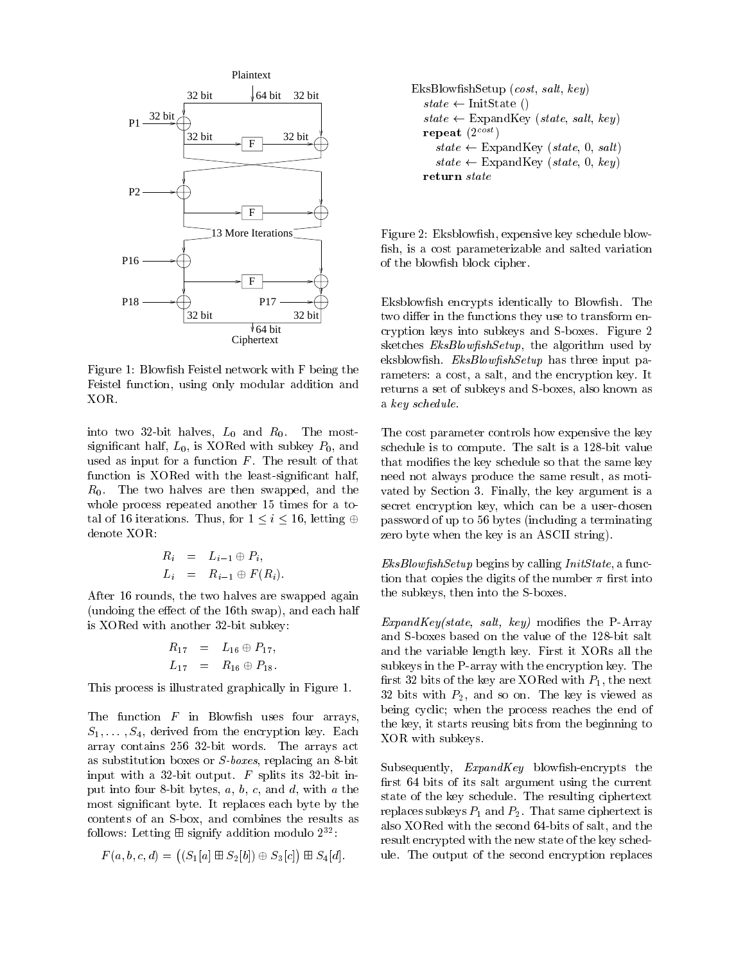

Figure 1: Blowfish Feistel network with F being the Feistel function, using only modular addition and XOR

into two of the finite most and additional contracts to the most of the most of the most of the most of the most significant half,  $L_0$ , is XORed with subkey  $P_0$ , and used as input for a function  $F$ . The result of that function is the least-significant intervals of the least-significant intervals of  $\mathbf{A}$  $R_0$ . The two halves are then swapped, and the whole process repeated another 15 times for a total of 16 iterations. Thus, for  $1 \leq i \leq 16$ , letting  $\oplus$ denote XOR

$$
R_i = L_{i-1} \oplus P_i,
$$
  
\n
$$
L_i = R_{i-1} \oplus F(R_i).
$$

After 16 rounds, the two halves are swapped again (undoing the effect of the  $16th$  swap), and each half is is a control with a substitute of the substitute  $\mathcal{L}_{\mathcal{A}}$ 

$$
R_{17} = L_{16} \oplus P_{17},
$$
  

$$
L_{17} = R_{16} \oplus P_{18}.
$$

This process is illustrated graphically in Figure 1.

The function  $F$  in Blowfish uses four arrays,  $S_1, \ldots, S_4$ , derived from the encryption key. Each array contains the arrays actions the arrays actions that the arrays actions are arrays actions and the arrays as substitution boxes replacing and the substitution boxes replacing and an - bit is a substitution of the substitution of the substitution of the substitution of the substitution of the substitution of the substitution of including the splits in the splits in the splits in-distribution of the splits in-distribution of the splits of put into a bit by the compact of a bit by the contract of the contract of the contract of the contract of the most significant byte. It replaces each byte by the contents of an S-box and combines the results as follows: Letting  $\boxplus$  signify addition modulo  $2^{32}$ .

$$
F(a, b, c, d) = ((S_1[a] \boxplus S_2[b]) \oplus S_3[c]) \boxplus S_4[d].
$$

$$
\begin{array}{l} \text{EksBlowfishSetup} \; (cost, \, salt, \, key) \\ \hspace{1.0cm} state \leftarrow \text{InitState }() \\ state \leftarrow \text{ExpandKey } (state, \, salt, \, key) \\ \hspace{1.0cm} \textbf{repeat } (2^{cost}) \\ state \leftarrow \text{ExpandKey } (state, \, 0, \, salt) \\ state \leftarrow \text{ExpandKey } (state, \, 0, \, key) \\ \textbf{return } state \end{array}
$$

Figure 2: Eksblowfish, expensive key schedule blowfish, is a cost parameterizable and salted variation of the blowfish block cipher.

Eksblowfish encrypts identically to Blowfish. The two differ in the functions they use to transform encryption keys into subkeys and S-boxes Figure sketches  $EksBlowfishSetup$ , the algorithm used by eksblowfish.  $EksBlowfishSetup$  has three input parameters: a cost, a salt, and the encryption key. It returns a set of subkeys and S-boxes also known as a key schedule

 The cost parameter controls how expensive the key secret encryption neg which can be a user-encryption schedule is to compute The salt is a salt is a salt is a salt is a salt is a salt is a salt is a salt is a sal that modifies the key schedule so that the same key need not always produce the same result, as motivated by Section 3. Finally, the key argument is a password of up to 56 bytes (including a terminating zero byte when the key is an ASCII string

 $EksBlowfishSetup$  begins by calling *InitState*, a function that copies the digits of the number  $\pi$  first into the subtraction in the S-contract of the S-contract of the S-contract of the S-contract of the S-contract of the S-contract of the S-contract of the S-contract of the S-contract of the S-contract of the S-contract of the S

ExpandKeystate salt key modies the P-Array and the variable length key First it XORs all the subkeys in the P-array with the encryption key The first 32 bits of the key are XORed with  $P_1$ , the next 32 bits with  $P_2$ , and so on. The key is viewed as being cyclic; when the process reaches the end of the key, it starts reusing bits from the beginning to XOR with subkeys

first 64 bits of its salt argument using the current encrypts the encrypts the control of the encrypts the encrypts the encrypts of the encrypts of the encrypts of state of the key schedule The resulting ciphertext replaces subkeys  $P_1$  and  $P_2$ . That same ciphertext is also XORed with the second of salt and the second second second second second second second second second second result encrypted with the new state of the key schedule The output of the second encryption replaces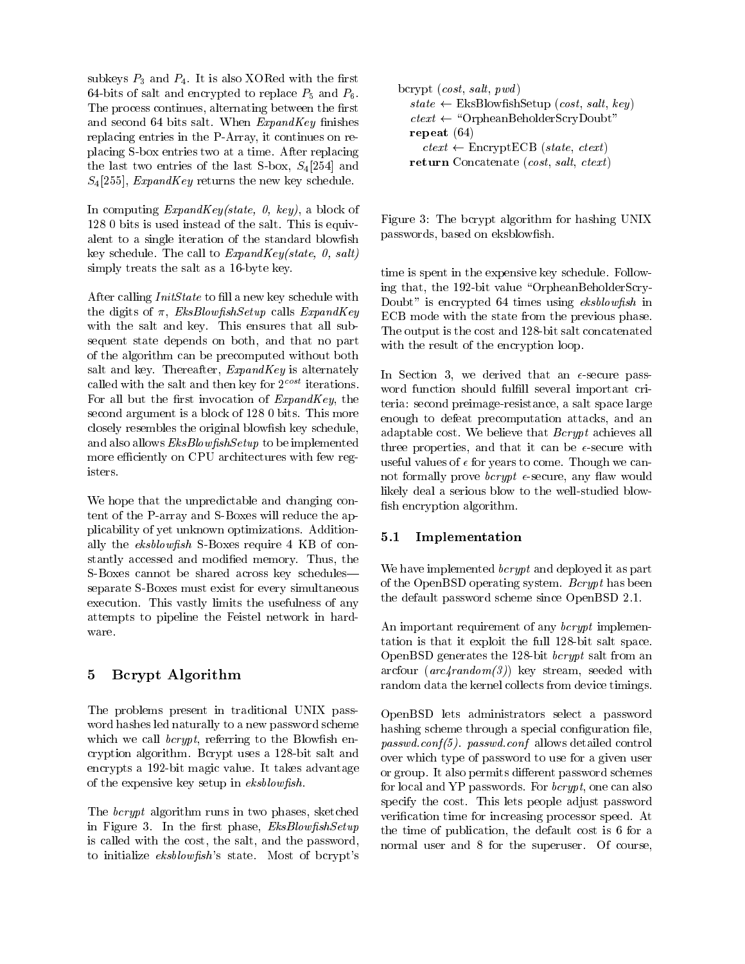subkeys  $P_3$  and  $P_4$ . It is also XORed with the first -bits of salt and encrypted to replace P and P The process continues, alternating between the first and second 64 bits salt. When  $ExpandKey$  finishes replacing entries in the P-Array it continues on replace the S-called S-called two at a time After replacement of the state  $\mathcal{L}_1$ the last two entries of the last S-  $\beta$  solid  $\beta$  and  $\beta$  $S_4$ [255], *ExpandKey* returns the new key schedule.

In computing  $ExpandKey(state, 0, key)$ , a block of 128 0 bits is used instead of the salt. This is equivalent to a single iteration of the standard blowfish key schedule. The call to  $ExpandKey(state, 0, salt)$ simply treats the salt as a salt as a salt as a salt as a salt as a salt as a salt as a salt as a salt as a sa

After calling  $InitState$  to fill a new key schedule with the digits of  $\pi$ , *EksBlowfishSetup* calls *ExpandKey* with the salt and key. This ensures that all subsequent state depends on both, and that no part of the algorithm can be precomputed without both salt and key. Thereafter,  $ExpandKey$  is alternately called with the salt and then key for  $2^{\mathit{cost}}$  iterations. For all but the first invocation of  $ExpandKey$ , the second argument is a block of  $1280$  bits. This more closely resembles the original blowfish key schedule, and also allows  $EksBlowfishSetup$  to be implemented more efficiently on CPU architectures with few registers.

We hope that the unpredictable and changing content of the P-array and S-Boxes will reduce the applicability of yet unknown optimizations Additionally the extra repress to more require to moment at the constantly accessed and modified memory. Thus, the S-Boxes cannot be shared across key schedules separate S-Boxes must exist for every simultaneous execution. This vastly limits the usefulness of any attempts to pipeline the Feistel network in hardware

# 5 Bcrypt Algorithm

The problems present in traditional UNIX password hashes led naturally to a new password scheme which we call  $bcrypt$ , referring to the Blowfish encryption and algorithm Bcryptian and Bcryptian and Bcryptian and Bcryptian and Bcryptian and Bcryptian and Bcr ence pas a non magic constant not advantage and the parties of  $\mathcal{L}_\mathbf{u}$ of the expensive key setup in  $eksblowfish$ .

The *bcrypt* algorithm runs in two phases, sketched in Figure 3. In the first phase,  $EksBlowfishSetup$ is called with the cost, the salt, and the password, to initialize  $eksblowfish$ 's state. Most of bcrypt's

| bcrypt $(cost, salt, pwd)$                                  |  |
|-------------------------------------------------------------|--|
| $state \leftarrow \text{EksBlowfishSetup}(cost, salt, key)$ |  |
| $ctext \leftarrow$ "OrpheanBeholderScryDoubt"               |  |
| repeat $(64)$                                               |  |
| $ctext \leftarrow \text{EncryptECB}(state, ctext)$          |  |
| return Concatenate (cost, salt, ctext)                      |  |

Figure 3: The bcrypt algorithm for hashing UNIX passwords based on eksblowsh

 The output is the cost and -bit salt concatenated time is spent in the expensive key schedule. Following that the  -bit value OrpheanBeholderScry-Doubt" is encrypted 64 times using eksblowfish in ECB mode with the state from the previous phase. with the result of the encryption loop.

useful values of  $\epsilon$  for years to come. Though we cannsn encryption algorithm. In Section we derived that an --secure password function should fulfill several important criteria second preimage-resistance a salt space large enough to defeat precomputation attacks, and an adaptable cost. We believe that *Bcrypt* achieves all the secure properties and the secure with the secure with the secure with the secure with the secure with the s not formally prove bcrypt --secure any aw would likely deal a serious blow to the well-studied blow-

#### $5.1$ Implementation

We have implemented  $bcrypt$  and deployed it as part of the OpenBSD operating system. Bcrypt has been the default password scheme since OpenBSD 

An important requirement of any *bcrypt* implementation is that it exploit the full space  $\mathbb{R}^n$  -full space  $\mathbb{R}^n$  -full space  $\mathbb{R}^n$ openBSD generates the SSO att fright salt from an and arcfour  $(arc4 random(3))$  key stream, seeded with random data the kernel collects from device timings

 OpenBSD lets administrators select a password  $passwa.corii (J)$ ,  $passwa.cori$  allows detailed control hashing scheme through a special configuration file, over which type of password to use for a given user or group. It also permits different password schemes for local and YP passwords. For *berypt*, one can also specify the cost. This lets people adjust password verification time for increasing processor speed. At the time of publication, the default cost is  $6$  for a normal user and  $8$  for the superuser. Of course,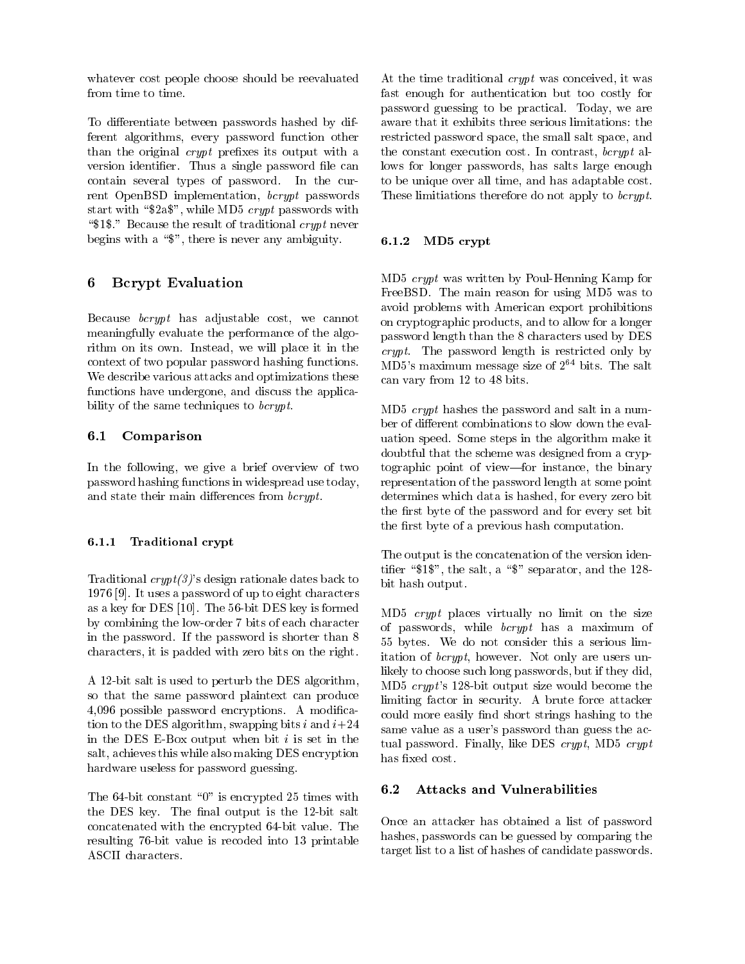whatever cost people choose should be reevaluated from time to time

To differentiate between passwords hashed by different algorithms, every password function other than the original  $crypt$  prefixes its output with a version identifier. Thus a single password file can contain several types of password. In the current OpenBSD implementation,  $bcrypt$  passwords start with " $2a$ <sup>\*</sup>", while MD<sub>5</sub> crypt passwords with " $1$ ." Because the result of traditional *crypt* never begins with a " $\mathcal{F}$ ", there is never any ambiguity.

#### 6 Bcrypt Evaluation

Because  $bcrypt$  has adjustable cost, we cannot meaningfully evaluate the performance of the algorithm on its own. Instead, we will place it in the context of two popular password hashing functions We describe various attacks and optimizations these functions have undergone, and discuss the applicability of the same techniques to  $bcrypt$ .

#### $6.1$ Comparison

In the following, we give a brief overview of two password hashing functions in widespread use today and state their main differences from  $bcrypt$ .

### Traditional crypt

Traditional  $crypt(3)$ 's design rationale dates back to It uses a password of up to eight characters and up to eight characters and up to eight characters of up to eig as a construction of  $\mathbb{R}^n$  . The state  $\mathbb{R}^n$  is formed as a construction of  $\mathbb{R}^n$  is formed as  $\mathbb{R}^n$ by combining the low-order 
bits of each character in the password. If the password is shorter than  $8$ characters it is padded with zero bits on the right

A -bit salt is used to perturb the DES algorithm the DES algorithm the DES algorithm the DES algorithm the DES algorithm the DES algorithm the DES algorithm the DES algorithm the DES algorithm the DES algorithm the DES al so that the same password plaintext can produce possible password encryptions A modication to the DES algorithm, swapping bits i and  $i+24$ in the DES E-Box output when bit is set in the DES E-Box output when bit is set in the DES E-Box output when b salt, achieves this while also making DES encryption hardware useless for password guessing

 $\mathbf{F}$  . The -dimensional distribution of times with  $\mathbf{F}$ the DES key The DES key The nal output is the nal output is the nal output is the nal output is the nal output is the nal output is the nal output is the nal output is the nal output is the nal output is the nal output is concatenated with the encrypted -bit value The resulting -bit value is recoded into  printable ASCII characters

 to be unique over all time and has adaptable cost At the time traditional  $crypt$  was conceived, it was fast enough for authentication but too costly for password guessing to be practical. Today, we are restricted password space, the small salt space, and the constant execution cost. In contrast,  $bcrypt$  allows for longer passwords, has salts large enough These limitiations therefore do not apply to  $bcrypt$ .

#### $6.1.2$ MD5 crypt

 password length than the characters used by DES MD crypt was written by Poul-Henning Kamp for FreeBSD. The main reason for using MD5 was to avoid problems with American export prohibitions on cryptographic products, and to allow for a longer  $crypt.$  The password length is restricted only by MD5's maximum message size of  $2^{64}$  bits. The salt can vary from 12 to 48 bits.

 $MD5$  *crypt* hashes the password and salt in a number of different combinations to slow down the evaluation speed. Some steps in the algorithm make it doubtful that the scheme was designed from a cryptographic point of view-for instance, the binary representation of the password length at some point determines which data is hashed, for every zero bit the first byte of the password and for every set bit the first byte of a previous hash computation.

The output is the concatenation of the version identifier " $1\$ ", the salt, a " $\$ " separator, and the 128bit hash output

could more easily nnd short strings hashing to the  $MD5$  crypt places virtually no limit on the size of passwords, while  $bcrypt$  has a maximum of 55 bytes. We do not consider this a serious limitation of  $bcrypt$ , however. Not only are users unlikely to choose such long passwords, but if they did, MD crypt s -bit output size would become the limiting factor in security. A brute force attacker same value as a user's password than guess the actual password. Finally, like DES  $crypt$ , MD5  $crypt$ has fixed cost.

## Attacks and Vulnerabilities

Once an attacker has obtained a list of password hashes, passwords can be guessed by comparing the target list to a list of hashes of candidate passwords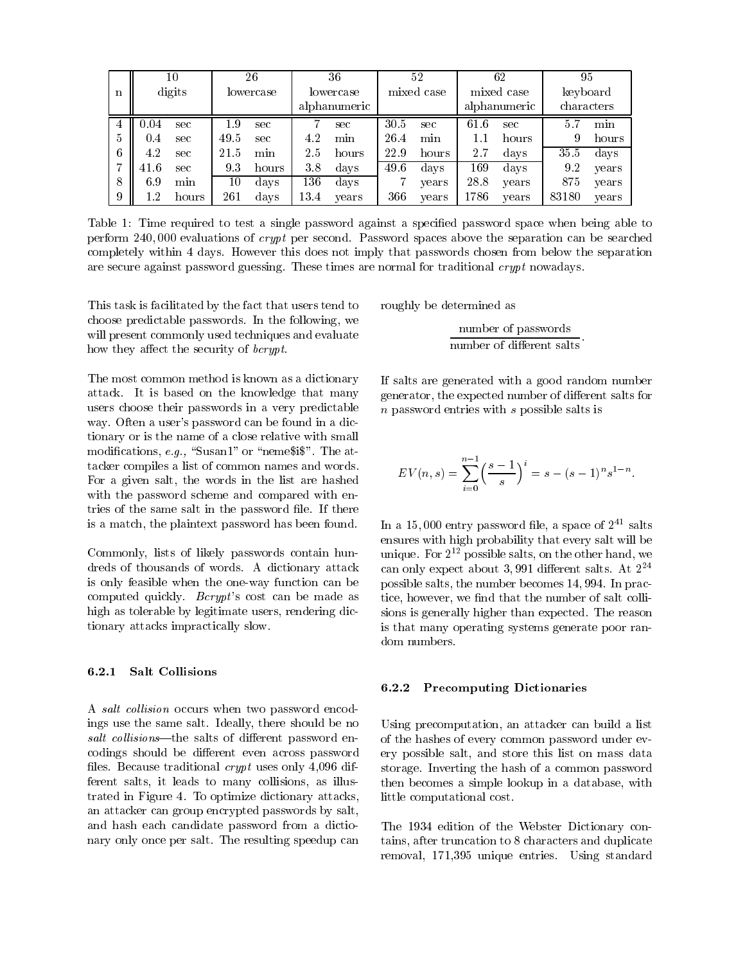|   |        | 10    |         | 36<br>26 |           |              |           | 52    |            | 62           | 95         |       |          |  |
|---|--------|-------|---------|----------|-----------|--------------|-----------|-------|------------|--------------|------------|-------|----------|--|
| n | digits |       |         |          | lowercase |              | lowercase |       | mixed case |              | mixed case |       | keyboard |  |
|   |        |       |         |          |           | alphanumeric |           |       |            | alphanumeric | characters |       |          |  |
| 4 | 0.04   | sec   | $1.9\,$ | sec      |           | sec          | 30.5      | sec   | 61.6       | sec          | 5.7        | min   |          |  |
| 5 | 0.4    | sec   | 49.5    | sec      | 4.2       | min          | 26.4      | min   |            | hours        | 9          | hours |          |  |
| 6 | 4.2    | sec   | 21.5    | min      | 2.5       | hours        | 22.9      | hours | 2.7        | days         | 35.5       | days  |          |  |
| 7 | 41.6   | sec   | 93      | hours    | 38        | days         | 49.6      | days  | 169        | days         | 9.2        | years |          |  |
| 8 | 69     | min   | 10      | days     | $136\,$   | days         |           | years | 28.8       | years        | 875        | years |          |  |
| 9 | l .2   | hours | 261     | days     | 13.4      | years        | 366       | years | 1786       | years        | 83180      | years |          |  |

Table 1: Time required to test a single password against a specified password space when being able to perform  $240,000$  evaluations of *crypt* per second. Password spaces above the separation can be searched completely within 4 days. However this does not imply that passwords chosen from below the separation are secure against password guessing. These times are normal for traditional  $crypt$  nowadays.

This task is facilitated by the fact that users tend to choose predictable passwords. In the following, we will present commonly used techniques and evaluate how they affect the security of *bcrypt*.

The most common method is known as a dictionary attack It is based on the knowledge that many users choose their passwords in a very predictable way. Often a user's password can be found in a dictionary or is the name of a close relative with small modifications, e.g., "Susan1" or "neme\$i\$". The attacker compiles a list of common names and words For a given salt, the words in the list are hashed with the password scheme and compared with entries of the same salt in the password file. If there is a match, the plaintext password has been found.

Commonly, lists of likely passwords contain hundreds of thousands of words. A dictionary attack is only feasible when the one-way function can be computed quickly.  $Bcrypt$ 's cost can be made as high as tolerable by legitimate users, rendering dictionary attacks impractically slow

#### $6.2.1$ **Salt Collisions**

A salt collision occurs when two password encodings use the same salt. Ideally, there should be no  $salt$  collisions—the salts of different password encodings should be different even across password les Because traditional crypt uses only  $d$  and  $d$  and  $d$  and  $d$  and  $d$  and  $d$  and  $d$  and  $d$  and  $d$  and  $d$  and  $d$  and  $d$  and  $d$  and  $d$  and  $d$  and  $d$  and  $d$  and  $d$  and  $d$  and  $d$  and  $d$  and  $d$  and  $d$  a ferent salts, it leads to many collisions, as illustrated in Figure 4. To optimize dictionary attacks, an attacker can group encrypted passwords by salt and hash each candidate password from a dictionary only once per salt. The resulting speedup can

roughly be determined as

number of passwords number of different salts

If salts are generated with a good random number generator, the expected number of different salts for  $n$  password entries with  $s$  possible salts is

$$
EV(n,s) = \sum_{i=0}^{n-1} \left(\frac{s-1}{s}\right)^i = s - (s-1)^n s^{1-n}.
$$

In a 15,000 entry password file, a space of  $2^{41}$  salts ensures with high probability that every salt will be unique. For  $Z^{\ast -}$  possible salts, on the other hand, we  $\rm can\; omy$  expect about 5,991 different saits. At  $\rm 2^{-1}$ possible salts the number becomes the number becomes the number of the number of the number of the number of th tice, however, we find that the number of salt colli sions is generally higher than expected The reason is that many operating systems generate poor random numbers.

### 6.2.2 Precomputing Dictionaries

 of the hashes of every common password under evstorage inverting the hash of a common password  $t_{\rm {nonlocal}}$  becomes a simple lookup in a database with  $t_{\rm {nonlocal}}$ Using precomputation, an attacker can build a list ery possible salt, and store this list on mass data little computational cost

 $\mathbf{r}$  respectively to the Webster Dictionary contains, after truncation to 8 characters and duplicate removal de la contrata de la contrata de la contrata de la contrata de la contrata de la contrata de la contra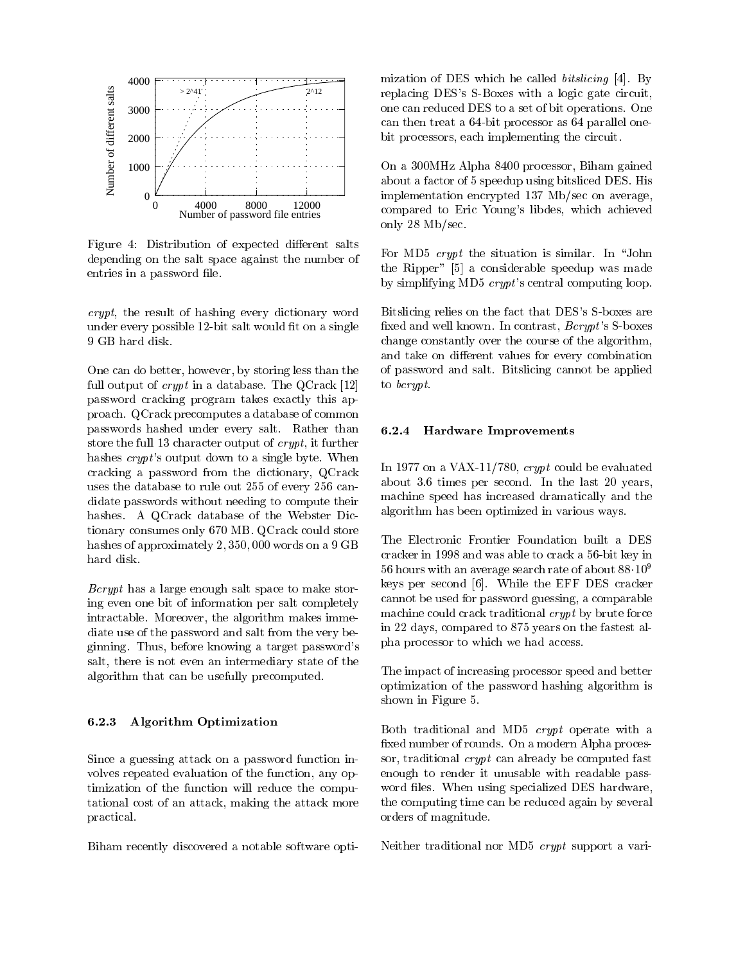

Figure 4: Distribution of expected different salts depending on the salt space against the number of entries in a password file.

 $crypt$ , the result of hashing every dictionary word under every possible -bit salt would t on a single

One can do better, however, by storing less than the full output of *crypt* in a database. The  $QCrack [12]$ password cracking program takes exactly this approach QCrack precomputes a database of common passwords hashed under every salt. Rather than store the full 13 character output of  $crypt$ , it further hashes  $crypt$ 's output down to a single byte. When cracking a password from the dictionary QCrack uses the database to rule out  $255$  of every  $256$  candidate passwords without needing to compute their hashes. A QCrack database of the Webster Dictionary consumes only 670 MB. QCrack could store<br>hacker of annual instal 2,250,000, and an a 0.CP. The Electronic Frontier Foundation built a DES hashes of approximately  $2,350,000$  words on a  $9$  GB hard disk.

Bcrypt has a large enough salt space to make storing even one bit of information per salt completely intractable. Moreover, the algorithm makes immediate use of the password and salt from the very beginning. Thus, before knowing a target password's salt, there is not even an intermediary state of the algorithm that can be usefully precomputed

#### 6.2.3 Algorithm Optimization

Since a guessing attack on a password function involves repeated evaluation of the function, any optimization of the function will reduce the computational cost of an attack making the attack more practical

Biham recently discovered a notable software opti-

mization of DES which he called *bitslicing*  $[4]$ . By replacement in the Dess States with a long-term of the state of the state of the state of the state of the state of the state of the state of the state of the state of the state of the state of the state of the state of th one can reduced DES to a set of bit operations One can then treat a -parallel one-bit processor as  $\mathbb{P}^1$ bit processors, each implementing the circuit.

On a 300MHz Alpha 8400 processor, Biham gained about a factor of 5 speedup using bitsliced DES. His implementation encrypted 137 Mb/sec on average, compared to Eric Young's libdes, which achieved only  $28$  Mb/sec.

For MD5  $crypt$  the situation is similar. In "John the Ripper"  $[5]$  a considerable speedup was made by simplifying MD5  $crypt$ 's central computing loop.

 $\mathcal{L}$  relies that the fact that  $\mathcal{L}$  is described that DESS S-straight that  $\mathcal{L}$ xed and well known in contrast because and well as a set of the S-resonance set of the set of the set of the s change constantly over the course of the algorithm and take on different values for every combination of password and salt. Bitslicing cannot be applied to bcrypt

### 6.2.4 Hardware Improvements

In  on a VAX- crypt could be evaluated about  $3.6$  times per second. In the last  $20$  years, machine speed has increased the speed of the speed of the theory and the speed of the speed of the speed of the algorithm has been optimized in various ways

cracker in 1998 and was able to crack a 56-bit key in cannot be used for password guessing a comparable in 22 days, compared to 875 years on the fastest al- $56$  hours with an average search rate of about  $88 \cdot 10^9$ keys per second  $[6]$ . While the EFF DES cracker machine could crack traditional crypt by brute force phase processor to which we had access to which we had a

> The impact of increasing processor speed and better optimization of the password hashing algorithm is shown in Figure 5.

 enough to render it unusable with readable password les When using specialized DES hardware distributions of the specialized DES hardware distributions of th Both traditional and MD5  $crypt$  operate with a fixed number of rounds. On a modern Alpha processor, traditional *crypt* can already be computed fast the computing time can be reduced again by several orders of magnitude

neither traditional nor where  $\alpha$  is  $\alpha$  proved protons and  $\alpha$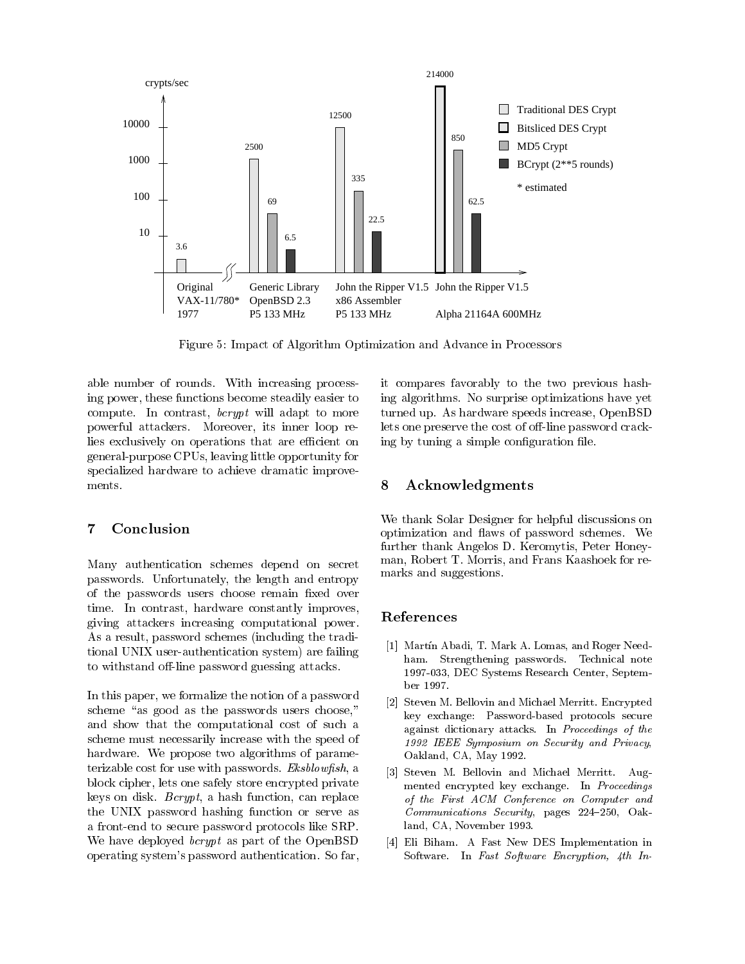

Figure 5: Impact of Algorithm Optimization and Advance in Processors

able number of rounds. With increasing processing power, these functions become steadily easier to compute. In contrast,  $bcrypt$  will adapt to more powerful attackers Moreover its inner loop relies exclusively on operations that are efficient on general-purpose CPUs leaving little opportunity for specialized hardware to achieve dramatic improve-

#### $\overline{7}$ Conclusion

Many authentication schemes depend on secret passwords. Unfortunately, the length and entropy of the passwords users choose remain fixed over time. In contrast, hardware constantly improves, giving attackers increasing computational power As a result, password schemes (including the traditional UNIX user-authentication system are failing to withstand o-line password guessing attacks

In this paper, we formalize the notion of a password scheme "as good as the passwords users choose," and show that the computational cost of such a scheme must necessarily increase with the speed of hardware. We propose two algorithms of parameterizable cost for use with passwords.  $Eksblowfish$ , a block cipher, lets one safely store encrypted private keys on disk.  $Bcrypt$ , a hash function, can replace the UNIX password hashing function or serve as a front-benzo to secure password protocols like SRPP in the SRPP in the SRPP in the SRPP in the SRPP in the SR We have deployed *bcrypt* as part of the OpenBSD operating system's password authentication. So far,

 it compares favorably to the two previous hash lets one preserve the cost of o-line password cracking algorithms No surprise optimizations have yet turned up. As hardware speeds increase, OpenBSD ing by tuning a simple configuration file.

## Acknowledgments

We thank Solar Designer for helpful discussions on optimization and flaws of password schemes. We further thank Angelos D. Keromytis, Peter Honeyman, Robert T. Morris, and Frans Kaashoek for remarks and suggestions

## References

- [1] Martín Abadi, T. Mark A. Lomas, and Roger Needham. Strengthening passwords. Technical note DEC Systems Research Center Septem ber 1997.
- - Steven M Bellovin and Michael Merritt Encrypted key exchange: Password-based protocols secure against dictionary attacks In Proceedings of the - IEEE Symposium on Security and Privacy Oakland, CA, May 1992.
- Steven M Bellovin and Michael Merritt Aug mented encrypted key exchange. In Proceedings of the First ACM Conference on Computer and as a communications of the communications of the communications of the communications of the communications of the communications of the communications of the communications of the communications of the communications of t land, CA, November 1993.
- , a fact the fact that the state of the state of the state of the state of the state of the state of the state of the state of the state of the state of the state of the state of the state of the state of the state of the Software. In Fast Software Encryption, 4th In-